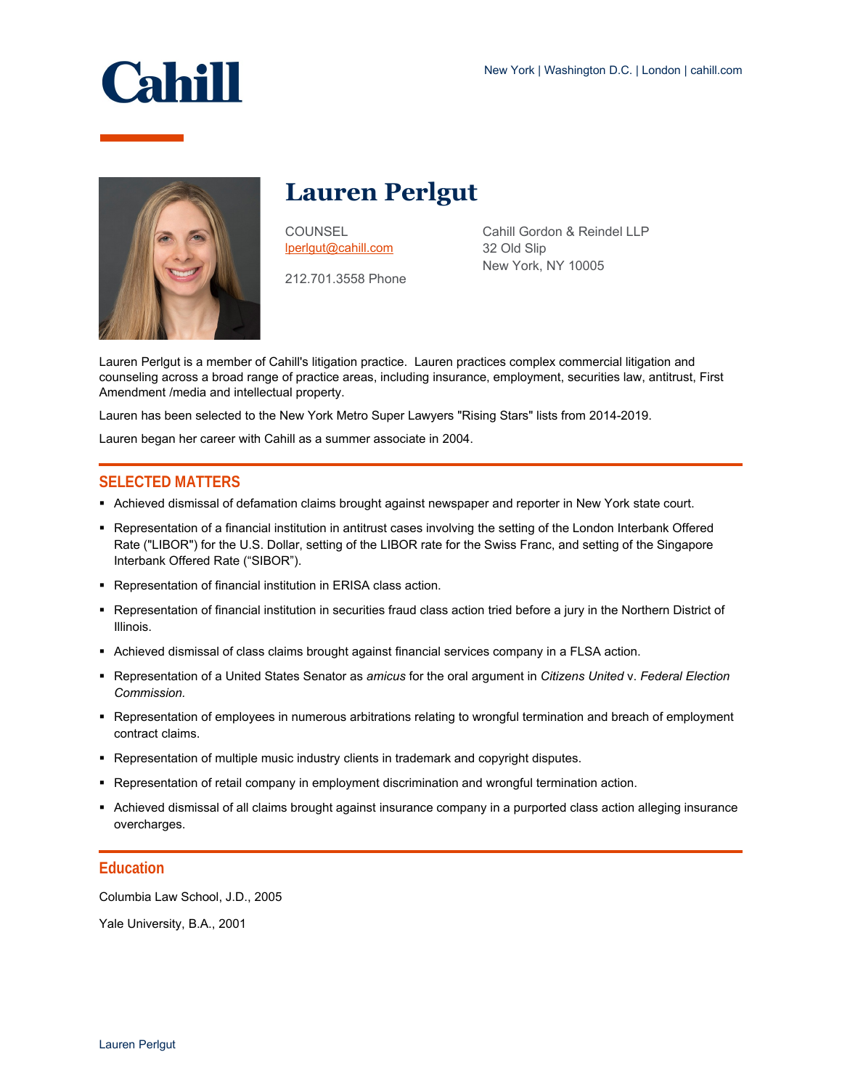



**Lauren Perlgut**

**COUNSEL** [lperlgut@cahill.com](mailto:lperlgut@cahill.com)

212.701.3558 Phone

Cahill Gordon & Reindel LLP 32 Old Slip New York, NY 10005

Lauren Perlgut is a member of Cahill's litigation practice. Lauren practices complex commercial litigation and counseling across a broad range of practice areas, including insurance, employment, securities law, antitrust, First Amendment /media and intellectual property.

Lauren has been selected to the New York Metro Super Lawyers "Rising Stars" lists from 2014-2019.

Lauren began her career with Cahill as a summer associate in 2004.

## **SELECTED MATTERS**

- Achieved dismissal of defamation claims brought against newspaper and reporter in New York state court.
- Representation of a financial institution in antitrust cases involving the setting of the London Interbank Offered Rate ("LIBOR") for the U.S. Dollar, setting of the LIBOR rate for the Swiss Franc, and setting of the Singapore Interbank Offered Rate ("SIBOR").
- Representation of financial institution in ERISA class action.
- Representation of financial institution in securities fraud class action tried before a jury in the Northern District of Illinois.
- Achieved dismissal of class claims brought against financial services company in a FLSA action.
- Representation of a United States Senator as *amicus* for the oral argument in *Citizens United* v. *Federal Election Commission.*
- Representation of employees in numerous arbitrations relating to wrongful termination and breach of employment contract claims.
- **Representation of multiple music industry clients in trademark and copyright disputes.**
- Representation of retail company in employment discrimination and wrongful termination action.
- Achieved dismissal of all claims brought against insurance company in a purported class action alleging insurance overcharges.

## **Education**

Columbia Law School, J.D., 2005

Yale University, B.A., 2001